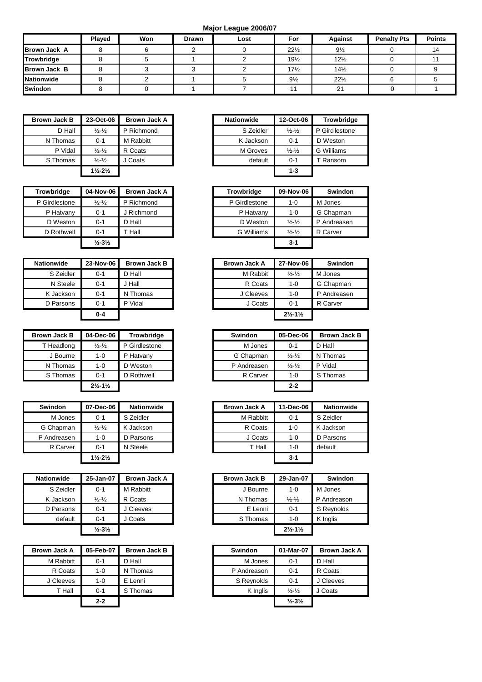**Major League 2006/07**

|                     | <b>Plaved</b> | Won | Drawn | Lost | For             | <b>Against</b>  | <b>Penalty Pts</b> | <b>Points</b> |
|---------------------|---------------|-----|-------|------|-----------------|-----------------|--------------------|---------------|
| <b>Brown Jack A</b> |               |     |       |      | $22\frac{1}{2}$ | $9\frac{1}{2}$  |                    | 14            |
| Trowbridge          |               |     |       |      | $19\frac{1}{2}$ | $12\frac{1}{2}$ |                    |               |
| <b>Brown Jack B</b> |               |     |       |      | 17%             | 14%             |                    |               |
| <b>Nationwide</b>   |               |     |       |      | $9\frac{1}{2}$  | $22\frac{1}{2}$ |                    |               |
| <b>Swindon</b>      |               |     |       |      |                 | 21              |                    |               |

| <b>Brown Jack B</b> | 23-Oct-06                       | <b>Brown Jack A</b> |
|---------------------|---------------------------------|---------------------|
| D Hall              | $\frac{1}{2}$ - $\frac{1}{2}$   | P Richmond          |
| N Thomas            | $0 - 1$                         | M Rabbitt           |
| P Vidal             | $\frac{1}{2}$ - $\frac{1}{2}$   | R Coats             |
| S Thomas            | $\frac{1}{2}$ - $\frac{1}{2}$   | J Coats             |
|                     | $1\frac{1}{2}$ -2 $\frac{1}{2}$ |                     |

| <b>Trowbridge</b> | 04-Nov-06                    | <b>Brown Jack A</b> |
|-------------------|------------------------------|---------------------|
| P Girdlestone     | $\frac{1}{2} - \frac{1}{2}$  | P Richmond          |
| P Hatvany         | $0 - 1$                      | J Richmond          |
| D Weston          | $0 - 1$                      | D Hall              |
| D Rothwell        | $0 - 1$                      | T Hall              |
|                   | $\frac{1}{2} - 3\frac{1}{2}$ |                     |

| <b>Nationwide</b> | 23-Nov-06 | <b>Brown Jack B</b> |
|-------------------|-----------|---------------------|
| S Zeidler         | 0-1       | D Hall              |
| N Steele          | 0-1       | J Hall              |
| K Jackson         | $0 - 1$   | N Thomas            |
| D Parsons         | $0 - 1$   | P Vidal             |
|                   | $0 - 4$   |                     |

| <b>Brown Jack B</b> | 04-Dec-06                     | <b>Trowbridge</b> | Swindon     | 05-Dec-06                     |  |
|---------------------|-------------------------------|-------------------|-------------|-------------------------------|--|
| T Headlong          | $\frac{1}{2} - \frac{1}{2}$   | P Girdlestone     | M Jones     | $0 - 1$                       |  |
| J Bourne            | 1-0                           | P Hatvany         | G Chapman   | $\frac{1}{2}$ - $\frac{1}{2}$ |  |
| N Thomas            | 1-0                           | D Weston          | P Andreasen | $\frac{1}{2} - \frac{1}{2}$   |  |
| S Thomas            | $0 - 1$                       | D Rothwell        | R Carver    | $1 - 0$                       |  |
|                     | $2\frac{1}{2} - 1\frac{1}{2}$ |                   |             | $2 - 2$                       |  |

| <b>Swindon</b> | 07-Dec-06                     | <b>Nationwide</b> |
|----------------|-------------------------------|-------------------|
| M Jones        | $0 - 1$                       | S Zeidler         |
| G Chapman      | $\frac{1}{2} - \frac{1}{2}$   | K Jackson         |
| P Andreasen    | 1-0                           | D Parsons         |
| R Carver       | $0 - 1$                       | N Steele          |
|                | $1\frac{1}{2} - 2\frac{1}{2}$ |                   |

| <b>Nationwide</b> | 25-Jan-07                     | <b>Brown Jack A</b> |
|-------------------|-------------------------------|---------------------|
| S Zeidler         | 0-1                           | M Rabbitt           |
| K Jackson         | $\frac{1}{2}$ - $\frac{1}{2}$ | R Coats             |
| D Parsons         | $0 - 1$                       | J Cleeves           |
| default           | $0 - 1$                       | J Coats             |
|                   | $\frac{1}{2} - 3\frac{1}{2}$  |                     |

| <b>Brown Jack A</b> | 05-Feb-07 | <b>Brown Jack B</b> |
|---------------------|-----------|---------------------|
| M Rabbitt           | $0 - 1$   | D Hall              |
| R Coats             | 1-0       | N Thomas            |
| J Cleeves           | 1-0       | E Lenni             |
| T Hall              | $0 - 1$   | S Thomas            |
|                     | $2 - 2$   |                     |

| Brown Jack B | 23-Oct-06                     | <b>Brown Jack A</b> | <b>Nationwide</b> | 12-Oct-06                   | Trowbridge     |
|--------------|-------------------------------|---------------------|-------------------|-----------------------------|----------------|
| D Hall       | $\frac{1}{2} - \frac{1}{2}$   | P Richmond          | S Zeidler         | $\frac{1}{2} - \frac{1}{2}$ | P Gird lestone |
| N Thomas     | $0 - 1$                       | M Rabbitt           | K Jackson         | $0 - 1$                     | D Weston       |
| P Vidal      | $\frac{1}{2} - \frac{1}{2}$   | R Coats             | M Groves          | $\frac{1}{2} - \frac{1}{2}$ | G Williams     |
| S Thomas     | $\frac{1}{2} - \frac{1}{2}$   | Coats               | default           | $0 - 1$                     | Ransom         |
|              | $1\frac{1}{2} - 2\frac{1}{2}$ |                     |                   | $1 - 3$                     |                |

| Trowbridge    | 04-Nov-06                    | <b>Brown Jack A</b> | <b>Trowbridge</b> | 09-Nov-06                     | Swindon     |
|---------------|------------------------------|---------------------|-------------------|-------------------------------|-------------|
| P Girdlestone | $\frac{1}{2} - \frac{1}{2}$  | P Richmond          | P Girdlestone     | $1 - 0$                       | M Jones     |
| P Hatvany     | $0 - 1$                      | J Richmond          | P Hatvany         | $1 - 0$                       | G Chapman   |
| D Weston      | $0 - 1$                      | D Hall              | D Weston          | $\frac{1}{2}$ - $\frac{1}{2}$ | P Andreasen |
| D Rothwell    | $0 - 1$                      | Hall                | G Williams        | $\frac{1}{2} - \frac{1}{2}$   | R Carver    |
|               | $\frac{1}{2} - 3\frac{1}{2}$ |                     |                   | $3 - 1$                       |             |

| Nationwide | 23-Nov-06 | <b>Brown Jack B</b> | <b>Brown Jack A</b> | 27-Nov-06                     | <b>Swindon</b> |
|------------|-----------|---------------------|---------------------|-------------------------------|----------------|
| S Zeidler  | $0 - 1$   | D Hall              | M Rabbit            | $\frac{1}{2}$ - $\frac{1}{2}$ | M Jones        |
| N Steele   | $0 - 1$   | J Hall              | R Coats             | $1 - 0$                       | G Chapman      |
| K Jackson  | $0 - 1$   | N Thomas            | J Cleeves           | $1 - 0$                       | P Andreasen    |
| D Parsons  | $0 - 1$   | P Vidal             | J Coats             | $0 - 1$                       | R Carver       |
|            | $0 - 4$   |                     |                     | $2\frac{1}{2} - 1\frac{1}{2}$ |                |

| Brown Jack B | 04-Dec-06                       | Trowbridge    | Swindon     | 05-Dec-06                     | <b>Brown Jack B</b> |
|--------------|---------------------------------|---------------|-------------|-------------------------------|---------------------|
| T Headlong   | $\frac{1}{2} - \frac{1}{2}$     | P Girdlestone | M Jones     | $0 - 1$                       | D Hall              |
| J Bourne     | 1-0                             | P Hatvany     | G Chapman   | $\frac{1}{2}$ - $\frac{1}{2}$ | N Thomas            |
| N Thomas     | 1-0                             | D Weston      | P Andreasen | $\frac{1}{2}$ - $\frac{1}{2}$ | P Vidal             |
| S Thomas     | $0 - 1$                         | D Rothwell    | R Carver    | $1 - 0$                       | S Thomas            |
|              | $2\frac{1}{2}$ -1 $\frac{1}{2}$ |               |             | $2 - 2$                       |                     |

| <b>Swindon</b> | 07-Dec-06                     | <b>Nationwide</b> |
|----------------|-------------------------------|-------------------|
| M Jones        | $0 - 1$                       | S Zeidler         |
| G Chapman      | $\frac{1}{2}$ - $\frac{1}{2}$ | Jackson           |
| P Andreasen    | 1-0                           | D Parsons         |
| R Carver       | $0 - 1$                       | N Steele          |
|                | $1\frac{1}{2} - 2\frac{1}{2}$ |                   |

| Nationwide | 25-Jan-07                    | <b>Brown Jack A</b> | <b>Brown Jack B</b> | 29-Jan-07                     | Swindon     |
|------------|------------------------------|---------------------|---------------------|-------------------------------|-------------|
| S Zeidler  | $0 - 1$                      | M Rabbitt           | J Bourne            | $1 - 0$                       | M Jones     |
| K Jackson  | $\frac{1}{2} - \frac{1}{2}$  | R Coats             | N Thomas            | $\frac{1}{2}$ - $\frac{1}{2}$ | P Andreason |
| D Parsons  | $0 - 1$                      | J Cleeves           | E Lenni             | $0 - 1$                       | S Revnolds  |
| default    | $0 - 1$                      | J Coats             | S Thomas            | $1 - 0$                       | K Inglis    |
|            | $\frac{1}{2} - 3\frac{1}{2}$ |                     |                     | $2\frac{1}{2} - 1\frac{1}{2}$ |             |

| Brown Jack A | 05-Feb-07 | <b>Brown Jack B</b> | Swindon     | 01-Mar-07                    | <b>Brown Jack A</b> |
|--------------|-----------|---------------------|-------------|------------------------------|---------------------|
| M Rabbitt    | $0 - 1$   | D Hall              | M Jones     | $0 - 1$                      | D Hall              |
| R Coats      | $1 - 0$   | N Thomas            | P Andreason | $0 - 1$                      | R Coats             |
| J Cleeves    | 1-0       | E Lenni             | S Revnolds  | $0 - 1$                      | J Cleeves           |
| T Hall       | $0 - 1$   | S Thomas            | K Inglis    | $\frac{1}{2} - \frac{1}{2}$  | J Coats             |
|              | $2 - 2$   |                     |             | $\frac{1}{2} - 3\frac{1}{2}$ |                     |